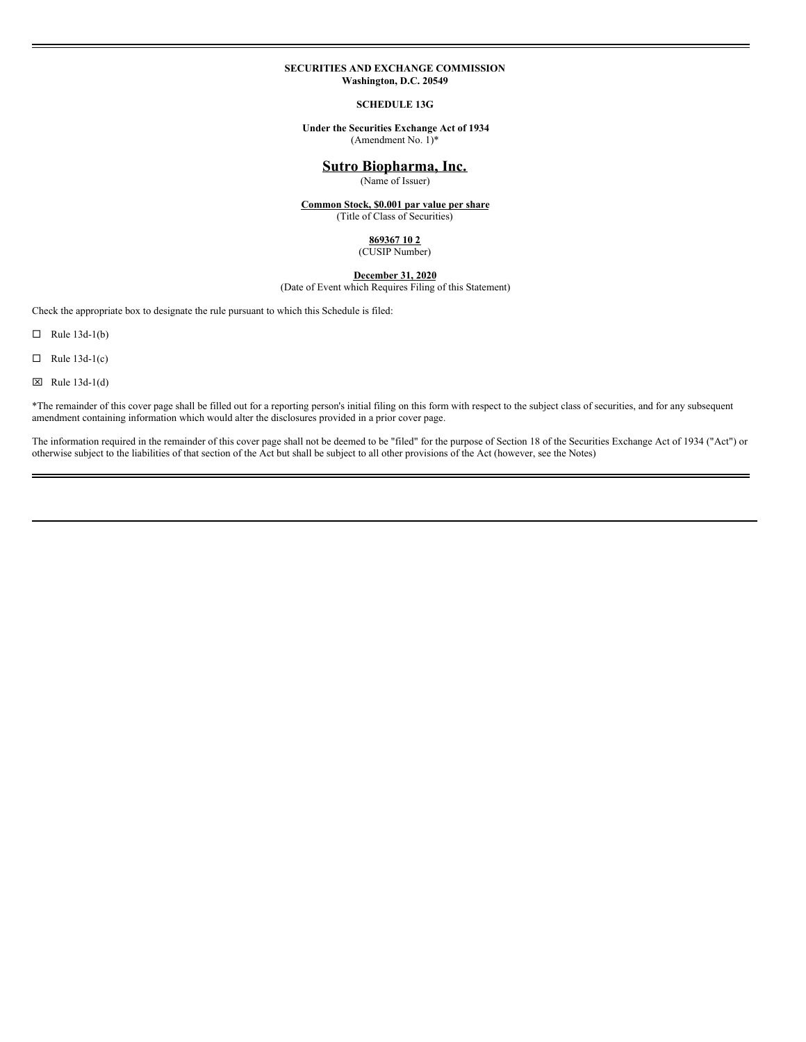#### **SECURITIES AND EXCHANGE COMMISSION Washington, D.C. 20549**

#### **SCHEDULE 13G**

#### **Under the Securities Exchange Act of 1934** (Amendment No.  $1$ <sup>\*</sup>

# **Sutro Biopharma, Inc.**

(Name of Issuer)

**Common Stock, \$0.001 par value per share** (Title of Class of Securities)

# **869367 10 2**

(CUSIP Number)

# **December 31, 2020**

(Date of Event which Requires Filing of this Statement)

Check the appropriate box to designate the rule pursuant to which this Schedule is filed:

 $\Box$  Rule 13d-1(b)

 $\Box$  Rule 13d-1(c)

 $\boxtimes$  Rule 13d-1(d)

\*The remainder of this cover page shall be filled out for a reporting person's initial filing on this form with respect to the subject class of securities, and for any subsequent amendment containing information which would alter the disclosures provided in a prior cover page.

The information required in the remainder of this cover page shall not be deemed to be "filed" for the purpose of Section 18 of the Securities Exchange Act of 1934 ("Act") or otherwise subject to the liabilities of that section of the Act but shall be subject to all other provisions of the Act (however, see the Notes)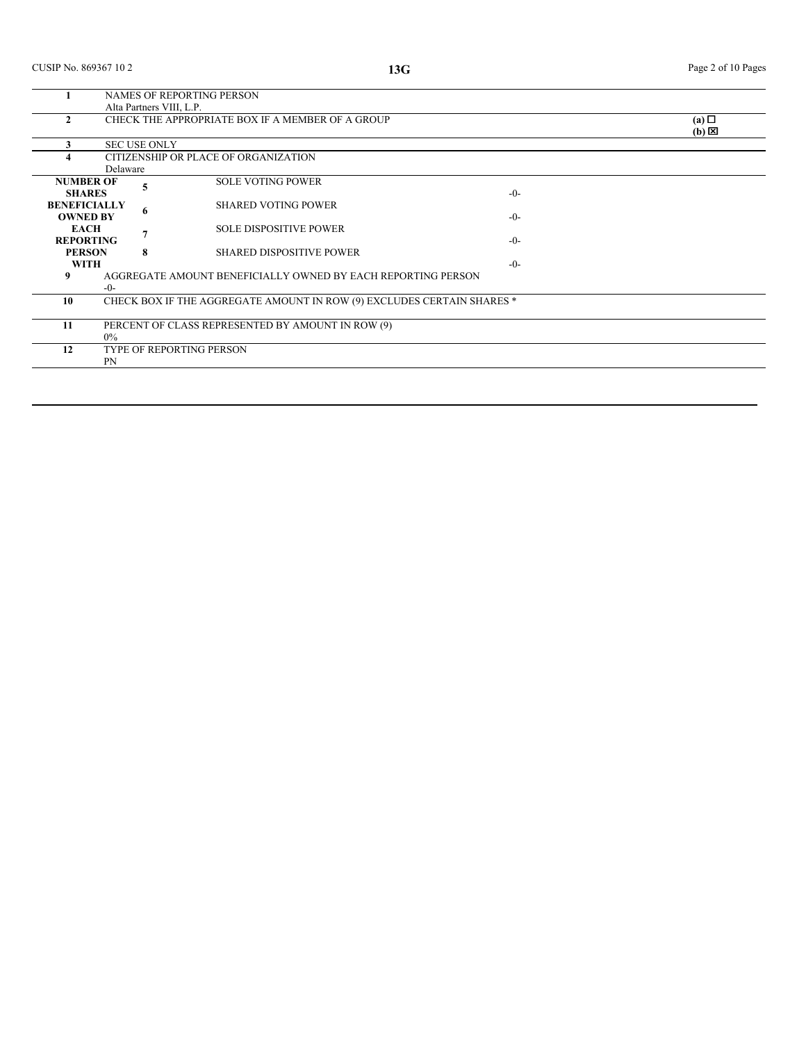|                                        | NAMES OF REPORTING PERSON |                     |                                                                        |         |                                    |  |  |
|----------------------------------------|---------------------------|---------------------|------------------------------------------------------------------------|---------|------------------------------------|--|--|
|                                        |                           |                     | Alta Partners VIII, L.P.                                               |         |                                    |  |  |
|                                        |                           |                     | CHECK THE APPROPRIATE BOX IF A MEMBER OF A GROUP                       |         | $(a)$ $\square$<br>$(b) \boxtimes$ |  |  |
|                                        |                           | <b>SEC USE ONLY</b> |                                                                        |         |                                    |  |  |
|                                        |                           |                     | CITIZENSHIP OR PLACE OF ORGANIZATION                                   |         |                                    |  |  |
|                                        | Delaware                  |                     |                                                                        |         |                                    |  |  |
| <b>NUMBER OF</b><br><b>SHARES</b>      |                           | 5                   | <b>SOLE VOTING POWER</b>                                               | $-0-$   |                                    |  |  |
| <b>BENEFICIALLY</b><br><b>OWNED BY</b> |                           | 6                   | <b>SHARED VOTING POWER</b>                                             | $-()$ - |                                    |  |  |
| <b>EACH</b><br><b>REPORTING</b>        |                           |                     | <b>SOLE DISPOSITIVE POWER</b>                                          | $-0-$   |                                    |  |  |
| <b>PERSON</b><br><b>WITH</b>           |                           | 8                   | <b>SHARED DISPOSITIVE POWER</b>                                        | $-0-$   |                                    |  |  |
| 9                                      | $-0-$                     |                     | AGGREGATE AMOUNT BENEFICIALLY OWNED BY EACH REPORTING PERSON           |         |                                    |  |  |
| 10                                     |                           |                     | CHECK BOX IF THE AGGREGATE AMOUNT IN ROW (9) EXCLUDES CERTAIN SHARES * |         |                                    |  |  |
| 11                                     | $0\%$                     |                     | PERCENT OF CLASS REPRESENTED BY AMOUNT IN ROW (9)                      |         |                                    |  |  |
| 12                                     | PN                        |                     | <b>TYPE OF REPORTING PERSON</b>                                        |         |                                    |  |  |
|                                        |                           |                     |                                                                        |         |                                    |  |  |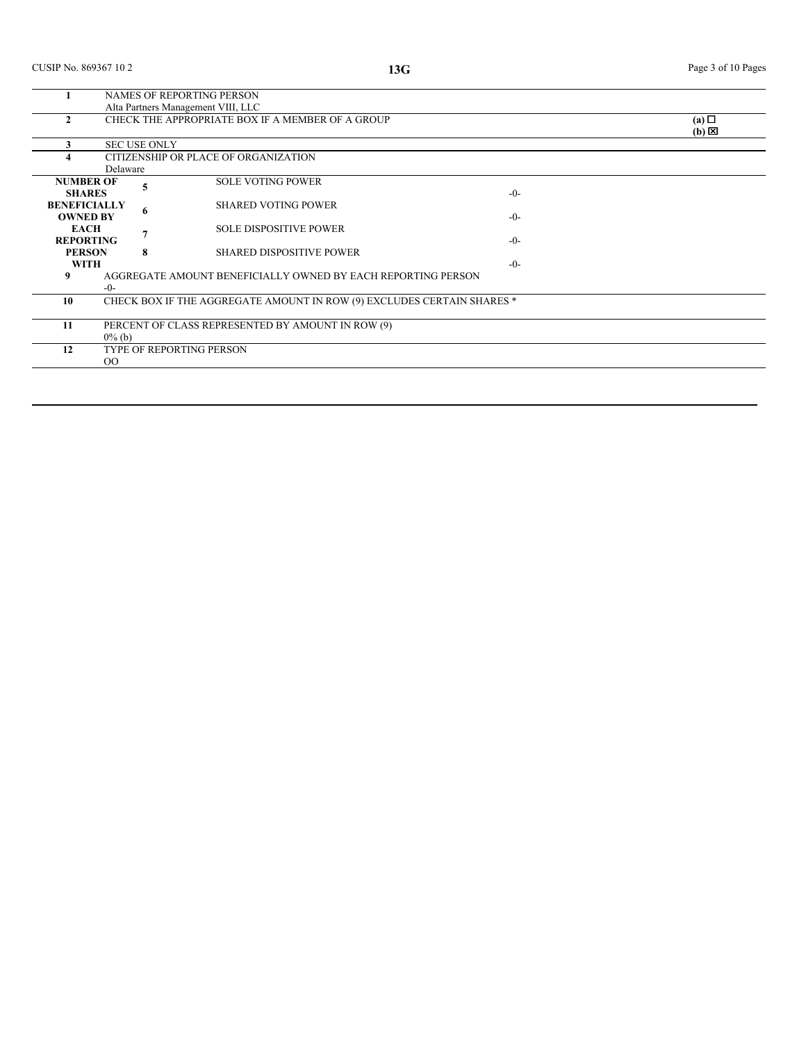|                     | <b>NAMES OF REPORTING PERSON</b>                 |   |                                                                        |                 |                 |  |  |
|---------------------|--------------------------------------------------|---|------------------------------------------------------------------------|-----------------|-----------------|--|--|
|                     |                                                  |   | Alta Partners Management VIII, LLC                                     |                 |                 |  |  |
|                     | CHECK THE APPROPRIATE BOX IF A MEMBER OF A GROUP |   |                                                                        | $(a)$ $\square$ |                 |  |  |
|                     |                                                  |   |                                                                        |                 | $(b) \boxtimes$ |  |  |
|                     | <b>SEC USE ONLY</b>                              |   |                                                                        |                 |                 |  |  |
|                     |                                                  |   | CITIZENSHIP OR PLACE OF ORGANIZATION                                   |                 |                 |  |  |
|                     | Delaware                                         |   |                                                                        |                 |                 |  |  |
| <b>NUMBER OF</b>    |                                                  |   | <b>SOLE VOTING POWER</b>                                               |                 |                 |  |  |
| <b>SHARES</b>       |                                                  |   |                                                                        | $-0-$           |                 |  |  |
| <b>BENEFICIALLY</b> |                                                  |   | <b>SHARED VOTING POWER</b>                                             |                 |                 |  |  |
| <b>OWNED BY</b>     |                                                  | 6 |                                                                        | $-0-$           |                 |  |  |
| <b>EACH</b>         |                                                  |   | <b>SOLE DISPOSITIVE POWER</b>                                          |                 |                 |  |  |
| <b>REPORTING</b>    |                                                  |   |                                                                        | $-0-$           |                 |  |  |
| <b>PERSON</b>       |                                                  | 8 | <b>SHARED DISPOSITIVE POWER</b>                                        |                 |                 |  |  |
| <b>WITH</b>         |                                                  |   |                                                                        | $-0-$           |                 |  |  |
| 9                   |                                                  |   | AGGREGATE AMOUNT BENEFICIALLY OWNED BY EACH REPORTING PERSON           |                 |                 |  |  |
|                     | $-0-$                                            |   |                                                                        |                 |                 |  |  |
| 10                  |                                                  |   | CHECK BOX IF THE AGGREGATE AMOUNT IN ROW (9) EXCLUDES CERTAIN SHARES * |                 |                 |  |  |
|                     |                                                  |   |                                                                        |                 |                 |  |  |
| 11                  |                                                  |   | PERCENT OF CLASS REPRESENTED BY AMOUNT IN ROW (9)                      |                 |                 |  |  |
|                     | $0\%$ (b)                                        |   |                                                                        |                 |                 |  |  |
| 12                  |                                                  |   | TYPE OF REPORTING PERSON                                               |                 |                 |  |  |
|                     | $_{\rm OO}$                                      |   |                                                                        |                 |                 |  |  |
|                     |                                                  |   |                                                                        |                 |                 |  |  |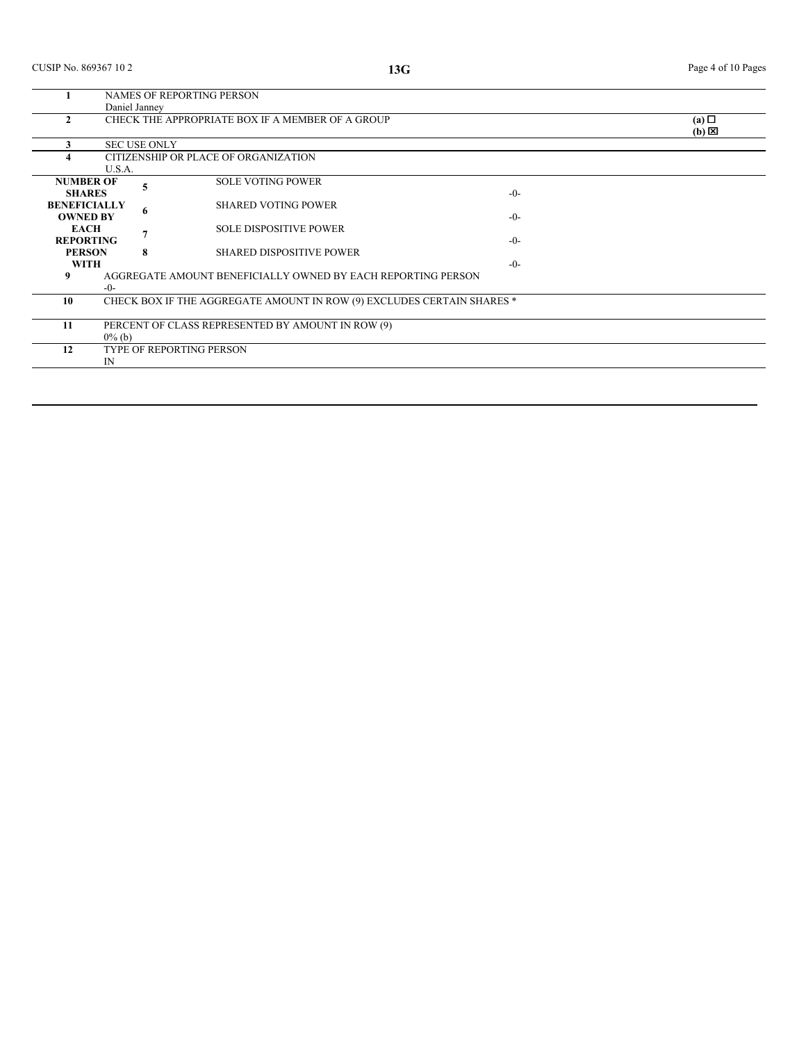|                                        | NAMES OF REPORTING PERSON                                      |   |                                                                        |       |                        |  |  |
|----------------------------------------|----------------------------------------------------------------|---|------------------------------------------------------------------------|-------|------------------------|--|--|
|                                        | Daniel Janney                                                  |   |                                                                        |       |                        |  |  |
|                                        |                                                                |   | CHECK THE APPROPRIATE BOX IF A MEMBER OF A GROUP                       |       | (a)<br>$(b) \boxtimes$ |  |  |
|                                        | <b>SEC USE ONLY</b>                                            |   |                                                                        |       |                        |  |  |
|                                        |                                                                |   | CITIZENSHIP OR PLACE OF ORGANIZATION                                   |       |                        |  |  |
| <b>NUMBER OF</b><br><b>SHARES</b>      | U.S.A.                                                         | 5 | <b>SOLE VOTING POWER</b>                                               | $-0-$ |                        |  |  |
| <b>BENEFICIALLY</b><br><b>OWNED BY</b> |                                                                | 6 | <b>SHARED VOTING POWER</b>                                             | $-0-$ |                        |  |  |
| <b>EACH</b><br><b>REPORTING</b>        |                                                                |   | <b>SOLE DISPOSITIVE POWER</b>                                          | $-0-$ |                        |  |  |
| <b>PERSON</b><br><b>WITH</b>           |                                                                | 8 | <b>SHARED DISPOSITIVE POWER</b>                                        | $-0-$ |                        |  |  |
| 9                                      | $-0-$                                                          |   | AGGREGATE AMOUNT BENEFICIALLY OWNED BY EACH REPORTING PERSON           |       |                        |  |  |
| 10                                     |                                                                |   | CHECK BOX IF THE AGGREGATE AMOUNT IN ROW (9) EXCLUDES CERTAIN SHARES * |       |                        |  |  |
| 11                                     | PERCENT OF CLASS REPRESENTED BY AMOUNT IN ROW (9)<br>$0\%$ (b) |   |                                                                        |       |                        |  |  |
| 12                                     | $\mathbb{N}$                                                   |   | <b>TYPE OF REPORTING PERSON</b>                                        |       |                        |  |  |
|                                        |                                                                |   |                                                                        |       |                        |  |  |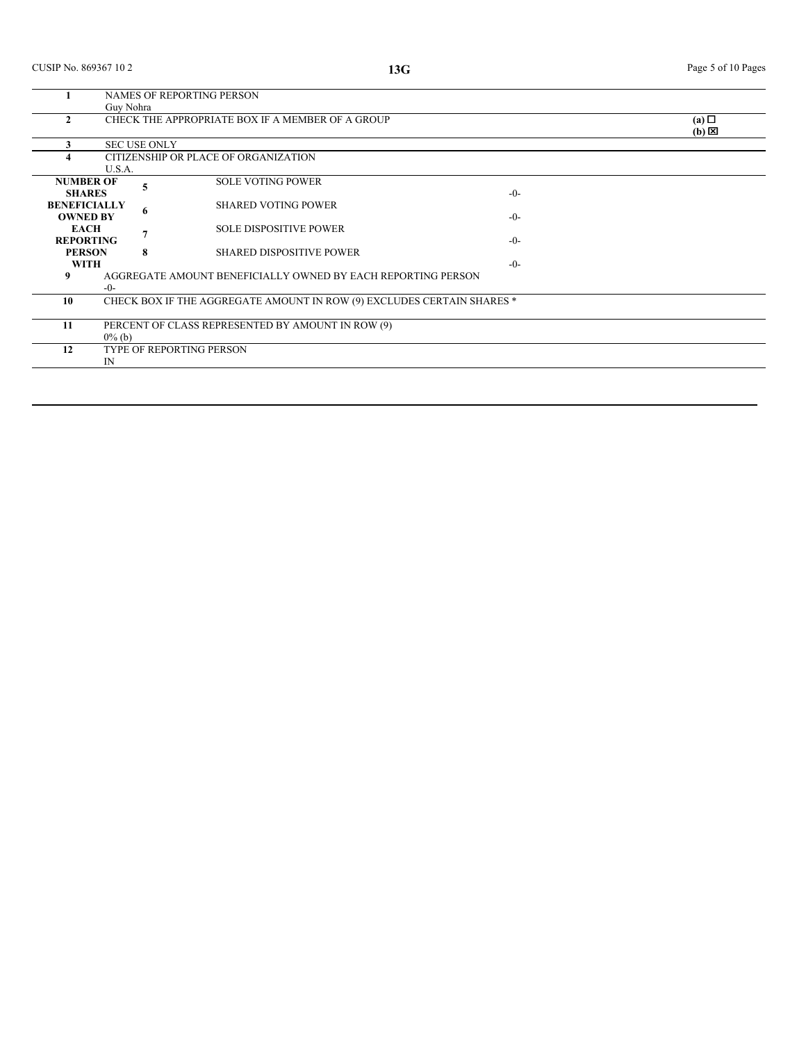|                     | NAMES OF REPORTING PERSON |                     |                                                                        |         |                 |  |  |
|---------------------|---------------------------|---------------------|------------------------------------------------------------------------|---------|-----------------|--|--|
|                     | Guy Nohra                 |                     |                                                                        |         |                 |  |  |
|                     |                           |                     | CHECK THE APPROPRIATE BOX IF A MEMBER OF A GROUP                       |         | $(a)$ $\square$ |  |  |
|                     |                           |                     |                                                                        |         | $(b) \boxtimes$ |  |  |
|                     |                           | <b>SEC USE ONLY</b> |                                                                        |         |                 |  |  |
|                     |                           |                     | CITIZENSHIP OR PLACE OF ORGANIZATION                                   |         |                 |  |  |
|                     | U.S.A.                    |                     |                                                                        |         |                 |  |  |
| <b>NUMBER OF</b>    |                           |                     | <b>SOLE VOTING POWER</b>                                               |         |                 |  |  |
| <b>SHARES</b>       |                           |                     |                                                                        | $-0-$   |                 |  |  |
| <b>BENEFICIALLY</b> |                           |                     | <b>SHARED VOTING POWER</b>                                             |         |                 |  |  |
| <b>OWNED BY</b>     |                           | 6                   |                                                                        | $-0-$   |                 |  |  |
| <b>EACH</b>         |                           |                     | <b>SOLE DISPOSITIVE POWER</b>                                          |         |                 |  |  |
| <b>REPORTING</b>    |                           |                     |                                                                        | $-()$ - |                 |  |  |
| <b>PERSON</b>       |                           | 8                   | <b>SHARED DISPOSITIVE POWER</b>                                        |         |                 |  |  |
|                     |                           |                     |                                                                        |         |                 |  |  |
| <b>WITH</b>         |                           |                     |                                                                        | $-0-$   |                 |  |  |
| 9                   |                           |                     | AGGREGATE AMOUNT BENEFICIALLY OWNED BY EACH REPORTING PERSON           |         |                 |  |  |
|                     | $-0-$                     |                     |                                                                        |         |                 |  |  |
| 10                  |                           |                     | CHECK BOX IF THE AGGREGATE AMOUNT IN ROW (9) EXCLUDES CERTAIN SHARES * |         |                 |  |  |
|                     |                           |                     |                                                                        |         |                 |  |  |
| 11                  |                           |                     | PERCENT OF CLASS REPRESENTED BY AMOUNT IN ROW (9)                      |         |                 |  |  |
|                     | $0\%$ (b)                 |                     |                                                                        |         |                 |  |  |
| 12                  |                           |                     | TYPE OF REPORTING PERSON                                               |         |                 |  |  |
|                     | $_{\rm IN}$               |                     |                                                                        |         |                 |  |  |
|                     |                           |                     |                                                                        |         |                 |  |  |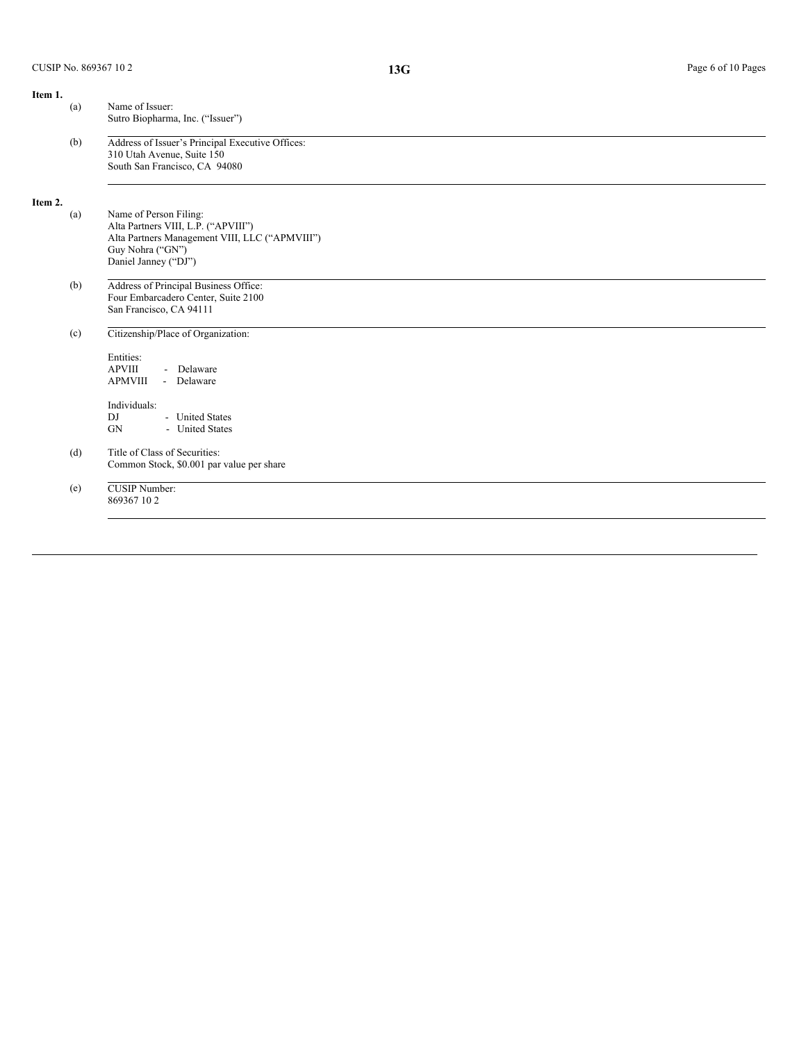| Name of Issuer:<br>Sutro Biopharma, Inc. ("Issuer")                                                                               |
|-----------------------------------------------------------------------------------------------------------------------------------|
| Address of Issuer's Principal Executive Offices:<br>310 Utah Avenue, Suite 150<br>South San Francisco, CA 94080                   |
| Name of Person Filing:                                                                                                            |
| Alta Partners VIII, L.P. ("APVIII")<br>Alta Partners Management VIII, LLC ("APMVIII")<br>Guy Nohra ("GN")<br>Daniel Janney ("DJ") |
| Address of Principal Business Office:<br>Four Embarcadero Center, Suite 2100<br>San Francisco, CA 94111                           |
| Citizenship/Place of Organization:                                                                                                |
| Entities:<br><b>APVIII</b><br>- Delaware<br><b>APMVIII</b><br>- Delaware                                                          |
| Individuals:                                                                                                                      |
| - United States<br>- United States                                                                                                |
| Title of Class of Securities:<br>Common Stock, \$0.001 par value per share                                                        |
| <b>CUSIP</b> Number:<br>869367102                                                                                                 |
|                                                                                                                                   |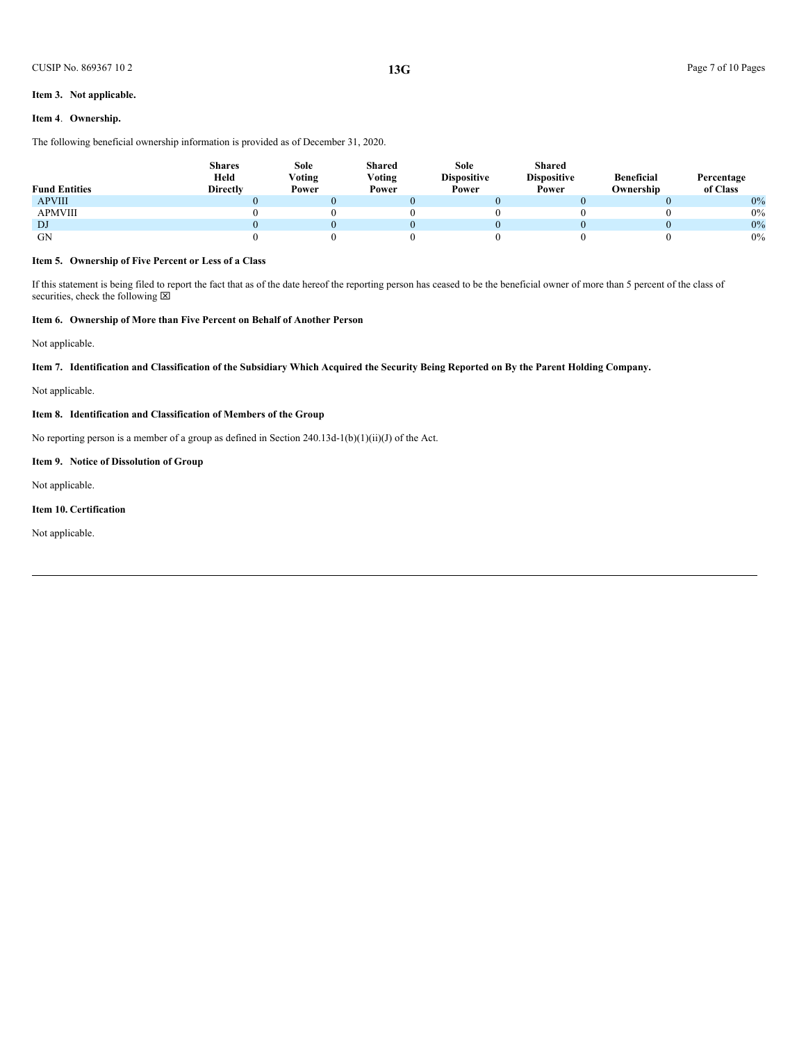### **Item 3. Not applicable.**

# **Item 4**. **Ownership.**

The following beneficial ownership information is provided as of December 31, 2020.

| <b>Fund Entities</b> | <b>Shares</b><br>Held<br><b>Directly</b> | Sole<br>Voting<br>Power | Shared<br>V <sub>oting</sub><br>Power | <b>Sole</b><br><b>Dispositive</b><br>Power | <b>Shared</b><br><b>Dispositive</b><br>Power | <b>Beneficial</b><br>Ownership | Percentage<br>of Class |
|----------------------|------------------------------------------|-------------------------|---------------------------------------|--------------------------------------------|----------------------------------------------|--------------------------------|------------------------|
| <b>APVIII</b>        |                                          |                         |                                       |                                            |                                              |                                | 0%                     |
| APMVIII              |                                          |                         |                                       |                                            |                                              |                                | 0%                     |
| DJ                   |                                          |                         |                                       |                                            |                                              |                                | 0%                     |
| <b>GN</b>            |                                          |                         |                                       |                                            |                                              |                                | $0\%$                  |

# **Item 5. Ownership of Five Percent or Less of a Class**

If this statement is being filed to report the fact that as of the date hereof the reporting person has ceased to be the beneficial owner of more than 5 percent of the class of securities, check the following  $\boxtimes$ 

## **Item 6. Ownership of More than Five Percent on Behalf of Another Person**

Not applicable.

Item 7. Identification and Classification of the Subsidiary Which Acquired the Security Being Reported on By the Parent Holding Company.

Not applicable.

## **Item 8. Identification and Classification of Members of the Group**

No reporting person is a member of a group as defined in Section 240.13d-1(b)(1)(ii)(J) of the Act.

# **Item 9. Notice of Dissolution of Group**

Not applicable.

#### **Item 10. Certification**

Not applicable.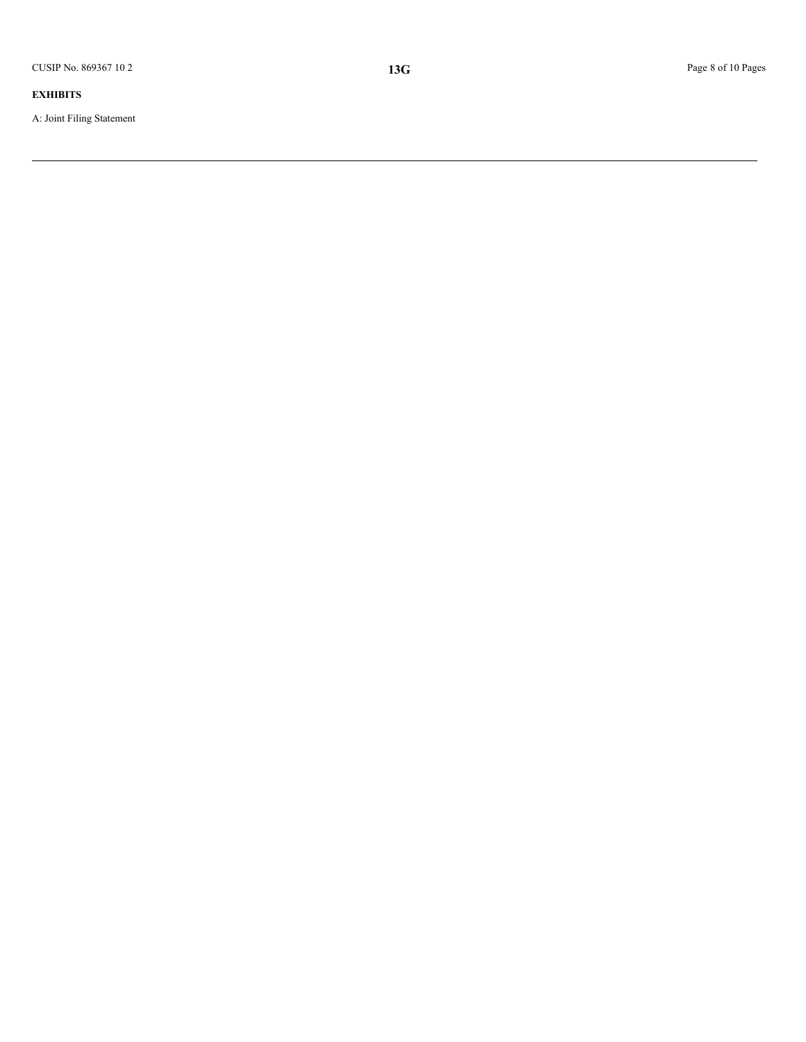A: Joint Filing Statement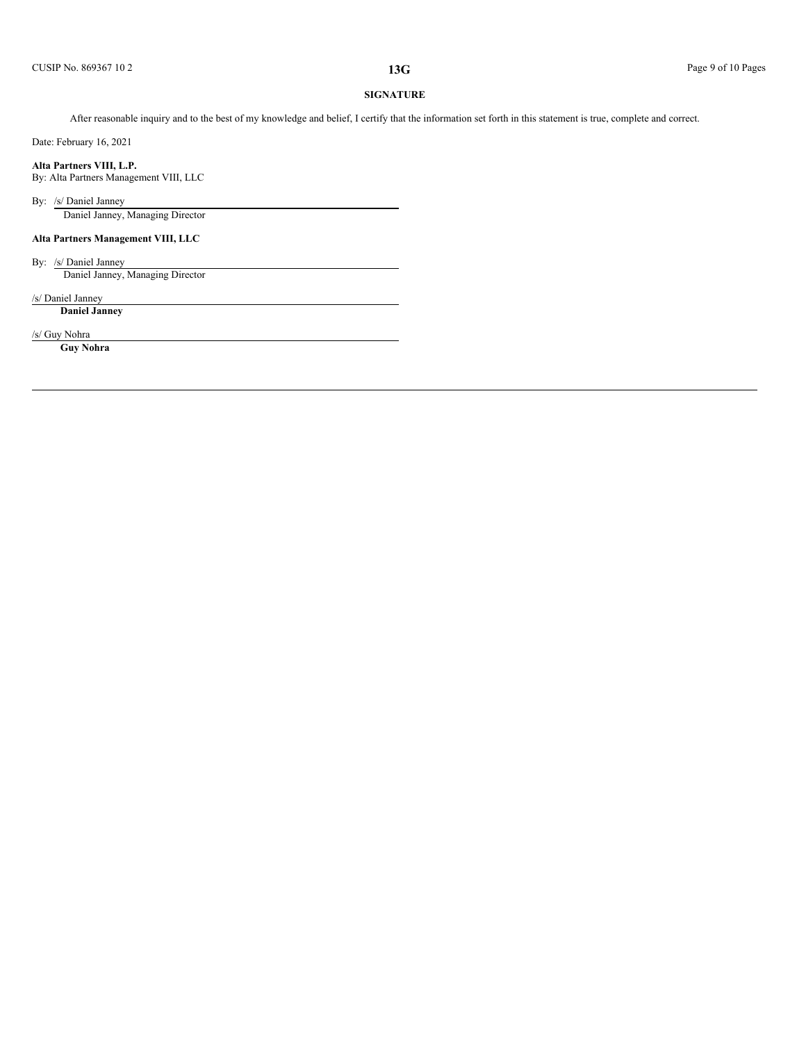# **SIGNATURE**

After reasonable inquiry and to the best of my knowledge and belief, I certify that the information set forth in this statement is true, complete and correct.

Date: February 16, 2021

**Alta Partners VIII, L.P.**

By: Alta Partners Management VIII, LLC

By: /s/ Daniel Janney

Daniel Janney, Managing Director

# **Alta Partners Management VIII, LLC**

By: /s/ Daniel Janney Daniel Janney, Managing Director

/s/ Daniel Janney

**Daniel Janney**

/s/ Guy Nohra

**Guy Nohra**